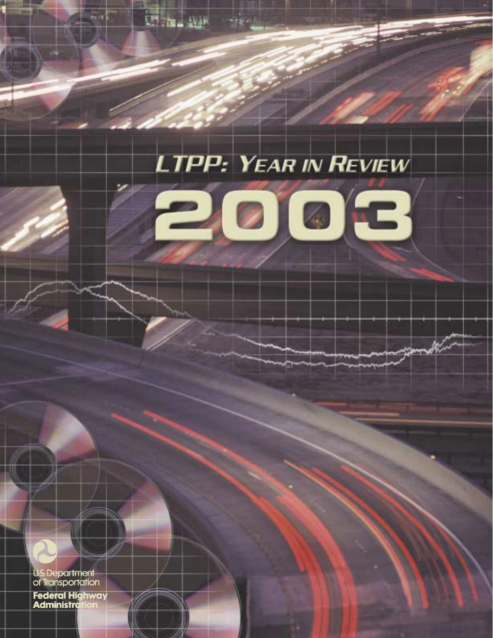## LTPP: YEAR IN REVIEW

trive Laur



**U.S. Department**<br>of Transportation **Federal Highway**<br>Administration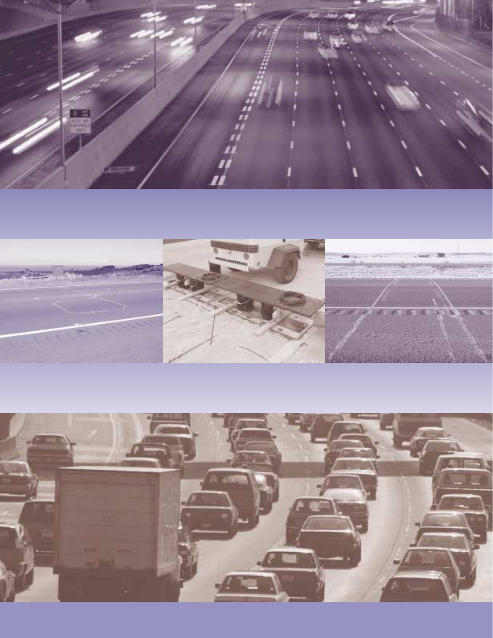



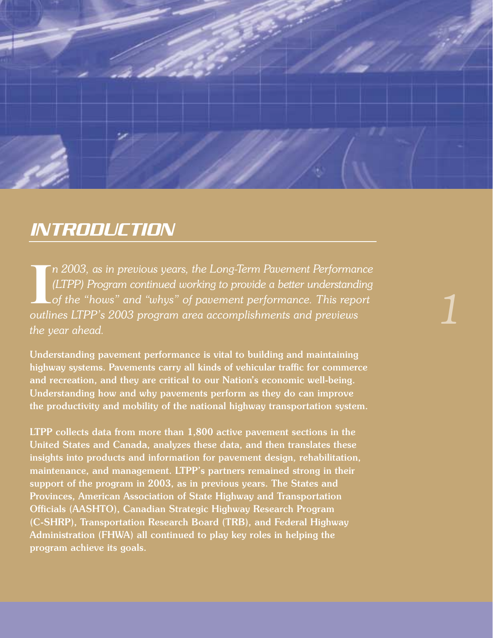

### **INTRODUCTION**

II n 2003, as in previous years, the Long-Term Pavement Performan (LTPP) Program continued working to provide a better understanding of the "hows" and "whys" of pavement performance. This repo<br>outlines LTPP's 2003 program *n 2003, as in previous years, the Long-Term Pavement Performance (LTPP) Program continued working to provide a better understanding of the "hows" and "whys" of pavement performance. This report the year ahead.*

Understanding pavement performance is vital to building and maintaining highway systems. Pavements carry all kinds of vehicular traffic for commerce and recreation, and they are critical to our Nation's economic well-being. Understanding how and why pavements perform as they do can improve the productivity and mobility of the national highway transportation system.

LTPP collects data from more than 1,800 active pavement sections in the United States and Canada, analyzes these data, and then translates these insights into products and information for pavement design, rehabilitation, maintenance, and management. LTPP's partners remained strong in their support of the program in 2003, as in previous years. The States and Provinces, American Association of State Highway and Transportation Officials (AASHTO), Canadian Strategic Highway Research Program (C-SHRP), Transportation Research Board (TRB), and Federal Highway Administration (FHWA) all continued to play key roles in helping the program achieve its goals.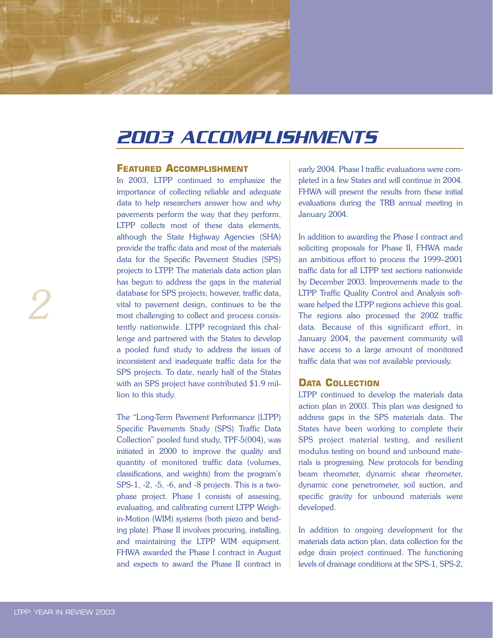

## 2003 ACCOMPLISHMENTS

#### **FEATURED ACCOMPLISHMENT**

In 2003, LTPP continued to emphasize the importance of collecting reliable and adequate data to help researchers answer how and why pavements perform the way that they perform. LTPP collects most of these data elements, although the State Highway Agencies (SHA) provide the traffic data and most of the materials data for the Specific Pavement Studies (SPS) projects to LTPP. The materials data action plan has begun to address the gaps in the material database for SPS projects; however, traffic data, vital to pavement design, continues to be the most challenging to collect and process consistently nationwide. LTPP recognized this challenge and partnered with the States to develop a pooled fund study to address the issues of inconsistent and inadequate traffic data for the SPS projects. To date, nearly half of the States with an SPS project have contributed \$1.9 million to this study.

The "Long-Term Pavement Performance (LTPP) Specific Pavements Study (SPS) Traffic Data Collection" pooled fund study, TPF-5(004), was initiated in 2000 to improve the quality and quantity of monitored traffic data (volumes, classifications, and weights) from the program's SPS-1, -2, -5, -6, and -8 projects. This is a twophase project. Phase I consists of assessing, evaluating, and calibrating current LTPP Weighin-Motion (WIM) systems (both piezo and bending plate). Phase II involves procuring, installing, and maintaining the LTPP WIM equipment. FHWA awarded the Phase I contract in August and expects to award the Phase II contract in

early 2004. Phase I traffic evaluations were completed in a few States and will continue in 2004. FHWA will present the results from these initial evaluations during the TRB annual meeting in January 2004.

In addition to awarding the Phase I contract and soliciting proposals for Phase II, FHWA made an ambitious effort to process the 1999–2001 traffic data for all LTPP test sections nationwide by December 2003. Improvements made to the LTPP Traffic Quality Control and Analysis software helped the LTPP regions achieve this goal. The regions also processed the 2002 traffic data. Because of this significant effort, in January 2004, the pavement community will have access to a large amount of monitored traffic data that was not available previously.

#### **DATA COLLECTION**

LTPP continued to develop the materials data action plan in 2003. This plan was designed to address gaps in the SPS materials data. The States have been working to complete their SPS project material testing, and resilient modulus testing on bound and unbound materials is progressing. New protocols for bending beam rheometer, dynamic shear rheometer, dynamic cone penetrometer, soil suction, and specific gravity for unbound materials were developed.

In addition to ongoing development for the materials data action plan, data collection for the edge drain project continued. The functioning levels of drainage conditions at the SPS-1, SPS-2,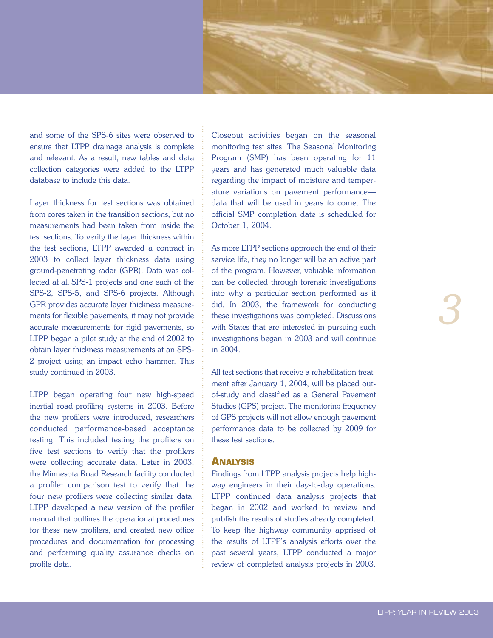

and some of the SPS-6 sites were observed to ensure that LTPP drainage analysis is complete and relevant. As a result, new tables and data collection categories were added to the LTPP database to include this data.

Layer thickness for test sections was obtained from cores taken in the transition sections, but no measurements had been taken from inside the test sections. To verify the layer thickness within the test sections, LTPP awarded a contract in 2003 to collect layer thickness data using ground-penetrating radar (GPR). Data was collected at all SPS-1 projects and one each of the SPS-2, SPS-5, and SPS-6 projects. Although GPR provides accurate layer thickness measurements for flexible pavements, it may not provide accurate measurements for rigid pavements, so LTPP began a pilot study at the end of 2002 to obtain layer thickness measurements at an SPS-2 project using an impact echo hammer. This study continued in 2003.

LTPP began operating four new high-speed inertial road-profiling systems in 2003. Before the new profilers were introduced, researchers conducted performance-based acceptance testing. This included testing the profilers on five test sections to verify that the profilers were collecting accurate data. Later in 2003, the Minnesota Road Research facility conducted a profiler comparison test to verify that the four new profilers were collecting similar data. LTPP developed a new version of the profiler manual that outlines the operational procedures for these new profilers, and created new office procedures and documentation for processing and performing quality assurance checks on profile data.

Closeout activities began on the seasonal monitoring test sites. The Seasonal Monitoring Program (SMP) has been operating for 11 years and has generated much valuable data regarding the impact of moisture and temperature variations on pavement performance data that will be used in years to come. The official SMP completion date is scheduled for October 1, 2004.

As more LTPP sections approach the end of their service life, they no longer will be an active part of the program. However, valuable information can be collected through forensic investigations into why a particular section performed as it did. In 2003, the framework for conducting these investigations was completed. Discussions with States that are interested in pursuing such investigations began in 2003 and will continue in 2004.

All test sections that receive a rehabilitation treatment after January 1, 2004, will be placed outof-study and classified as a General Pavement Studies (GPS) project. The monitoring frequency of GPS projects will not allow enough pavement performance data to be collected by 2009 for these test sections.

#### **ANALYSIS**

Findings from LTPP analysis projects help highway engineers in their day-to-day operations. LTPP continued data analysis projects that began in 2002 and worked to review and publish the results of studies already completed. To keep the highway community apprised of the results of LTPP's analysis efforts over the past several years, LTPP conducted a major review of completed analysis projects in 2003.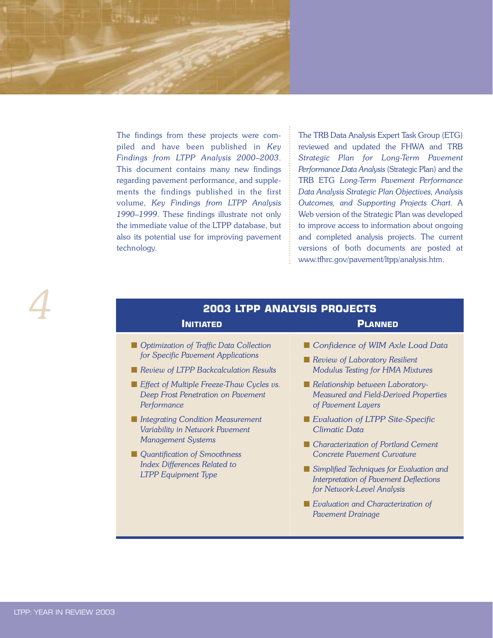

The findings from these projects were compiled and have been published in *Key Findings from LTPP Analysis 2000–2003*. This document contains many new findings regarding pavement performance, and supplements the findings published in the first volume, *Key Findings from LTPP Analysis 1990–1999*. These findings illustrate not only the immediate value of the LTPP database, but also its potential use for improving pavement technology.

The TRB Data Analysis Expert Task Group (ETG) reviewed and updated the FHWA and TRB *Strategic Plan for Long-Term Pavement Performance Data Analysis* (Strategic Plan) and the TRB ETG *Long-Term Pavement Performance Data Analysis Strategic Plan Objectives, Analysis Outcomes, and Supporting Projects Chart*. A Web version of the Strategic Plan was developed to improve access to information about ongoing and completed analysis projects. The current versions of both documents are posted at www.tfhrc.gov/pavement/ltpp/analysis.htm.



#### **2003 LTPP ANALYSIS PROJECTS**

#### **INITIATED**

- *Optimization of Traffic Data Collection for Specific Pavement Applications*
- *Review of LTPP Backcalculation Results*
- *Effect of Multiple Freeze-Thaw Cycles vs. Deep Frost Penetration on Pavement Performance*
- *Integrating Condition Measurement Variability in Network Pavement Management Systems*
- *Quantification of Smoothness Index Differences Related to LTPP Equipment Type*

#### **PLANNED**

- *Confidence of WIM Axle Load Data*
- *Review of Laboratory Resilient Modulus Testing for HMA Mixtures*
- *Relationship between Laboratory-Measured and Field-Derived Properties of Pavement Layers*
- *Evaluation of LTPP Site-Specific Climatic Data*
- *Characterization of Portland Cement Concrete Pavement Curvature*
- *Simplified Techniques for Evaluation and Interpretation of Pavement Deflections for Network-Level Analysis*
- *Evaluation and Characterization of Pavement Drainage*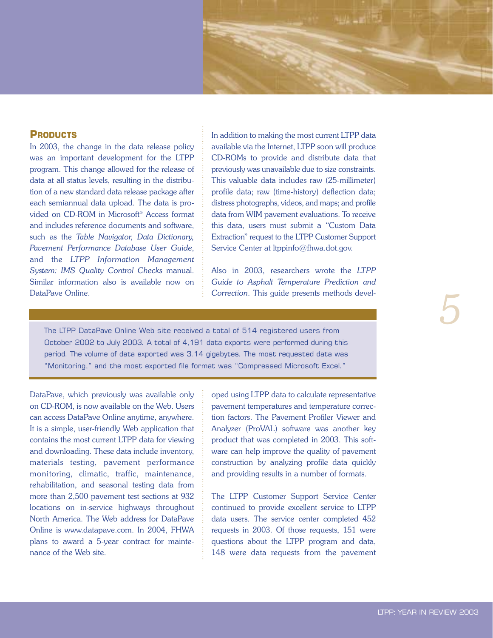

#### **PRODUCTS**

In 2003, the change in the data release policy was an important development for the LTPP program. This change allowed for the release of data at all status levels, resulting in the distribution of a new standard data release package after each semiannual data upload. The data is provided on CD-ROM in Microsoft® Access format and includes reference documents and software, such as the *Table Navigator, Data Dictionary, Pavement Performance Database User Guide*, and the *LTPP Information Management System: IMS Quality Control Checks* manual. Similar information also is available now on DataPave Online.

In addition to making the most current LTPP data available via the Internet, LTPP soon will produce CD-ROMs to provide and distribute data that previously was unavailable due to size constraints. This valuable data includes raw (25-millimeter) profile data; raw (time-history) deflection data; distress photographs, videos, and maps; and profile data from WIM pavement evaluations. To receive this data, users must submit a "Custom Data Extraction" request to the LTPP Customer Support Service Center at ltppinfo@fhwa.dot.gov.

Also in 2003, researchers wrote the *LTPP Guide to Asphalt Temperature Prediction and Correction*. This guide presents methods devel-

The LTPP DataPave Online Web site received a total of 514 registered users from October 2002 to July 2003. A total of 4,191 data exports were performed during this period. The volume of data exported was 3.14 gigabytes. The most requested data was "Monitoring," and the most exported file format was "Compressed Microsoft Excel."

DataPave, which previously was available only on CD-ROM, is now available on the Web. Users can access DataPave Online anytime, anywhere. It is a simple, user-friendly Web application that contains the most current LTPP data for viewing and downloading. These data include inventory, materials testing, pavement performance monitoring, climatic, traffic, maintenance, rehabilitation, and seasonal testing data from more than 2,500 pavement test sections at 932 locations on in-service highways throughout North America. The Web address for DataPave Online is www.datapave.com. In 2004, FHWA plans to award a 5-year contract for maintenance of the Web site.

oped using LTPP data to calculate representative pavement temperatures and temperature correction factors. The Pavement Profiler Viewer and Analyzer (ProVAL) software was another key product that was completed in 2003. This software can help improve the quality of pavement construction by analyzing profile data quickly and providing results in a number of formats.

The LTPP Customer Support Service Center continued to provide excellent service to LTPP data users. The service center completed 452 requests in 2003. Of those requests, 151 were questions about the LTPP program and data, 148 were data requests from the pavement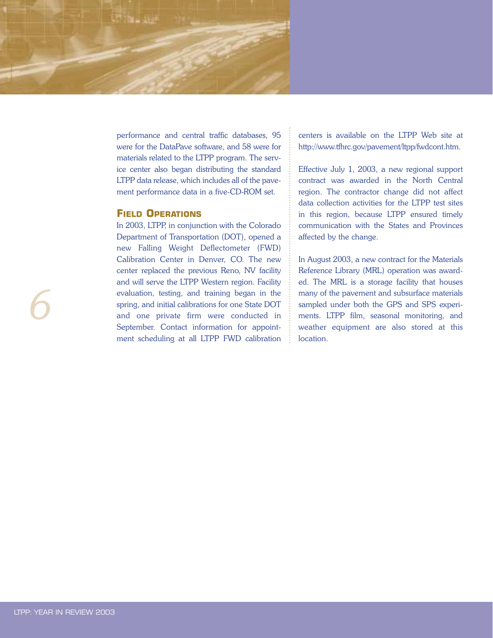

performance and central traffic databases, 95 were for the DataPave software, and 58 were for materials related to the LTPP program. The service center also began distributing the standard LTPP data release, which includes all of the pavement performance data in a five-CD-ROM set.

#### **FIELD OPERATIONS**

In 2003, LTPP, in conjunction with the Colorado Department of Transportation (DOT), opened a new Falling Weight Deflectometer (FWD) Calibration Center in Denver, CO. The new center replaced the previous Reno, NV facility and will serve the LTPP Western region. Facility evaluation, testing, and training began in the spring, and initial calibrations for one State DOT and one private firm were conducted in September. Contact information for appointment scheduling at all LTPP FWD calibration centers is available on the LTPP Web site at http://www.tfhrc.gov/pavement/ltpp/fwdcont.htm.

Effective July 1, 2003, a new regional support contract was awarded in the North Central region. The contractor change did not affect data collection activities for the LTPP test sites in this region, because LTPP ensured timely communication with the States and Provinces affected by the change.

In August 2003, a new contract for the Materials Reference Library (MRL) operation was awarded. The MRL is a storage facility that houses many of the pavement and subsurface materials sampled under both the GPS and SPS experiments. LTPP film, seasonal monitoring, and weather equipment are also stored at this location.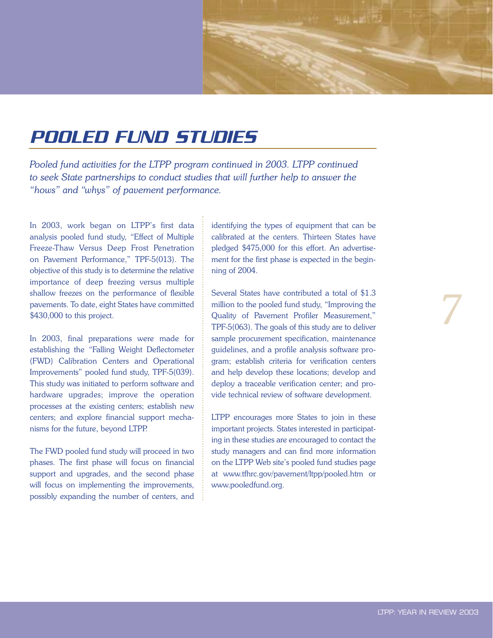

## POOLED FUND STUDIES

*Pooled fund activities for the LTPP program continued in 2003. LTPP continued to seek State partnerships to conduct studies that will further help to answer the "hows" and "whys" of pavement performance.*

In 2003, work began on LTPP's first data analysis pooled fund study, "Effect of Multiple Freeze-Thaw Versus Deep Frost Penetration on Pavement Performance," TPF-5(013). The objective of this study is to determine the relative importance of deep freezing versus multiple shallow freezes on the performance of flexible pavements. To date, eight States have committed \$430,000 to this project.

In 2003, final preparations were made for establishing the "Falling Weight Deflectometer (FWD) Calibration Centers and Operational Improvements" pooled fund study, TPF-5(039). This study was initiated to perform software and hardware upgrades; improve the operation processes at the existing centers; establish new centers; and explore financial support mechanisms for the future, beyond LTPP.

The FWD pooled fund study will proceed in two phases. The first phase will focus on financial support and upgrades, and the second phase will focus on implementing the improvements, possibly expanding the number of centers, and identifying the types of equipment that can be calibrated at the centers. Thirteen States have pledged \$475,000 for this effort. An advertisement for the first phase is expected in the beginning of 2004.

Several States have contributed a total of \$1.3 million to the pooled fund study, "Improving the Quality of Pavement Profiler Measurement," TPF-5(063). The goals of this study are to deliver sample procurement specification, maintenance guidelines, and a profile analysis software program; establish criteria for verification centers and help develop these locations; develop and deploy a traceable verification center; and provide technical review of software development.

LTPP encourages more States to join in these important projects. States interested in participating in these studies are encouraged to contact the study managers and can find more information on the LTPP Web site's pooled fund studies page at www.tfhrc.gov/pavement/ltpp/pooled.htm or www.pooledfund.org.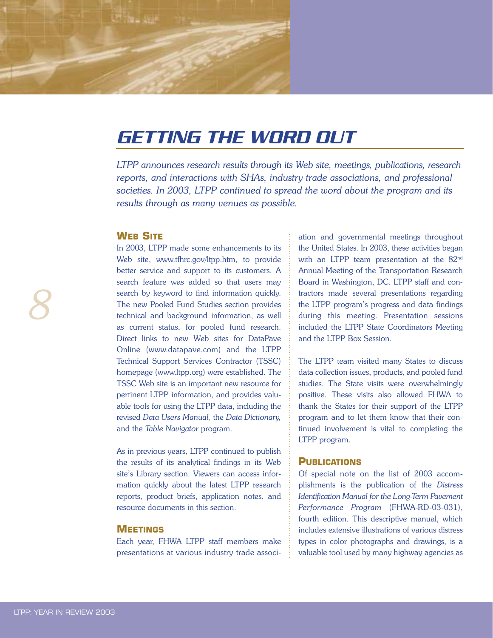

## GETTING THE WORD OUT

*LTPP announces research results through its Web site, meetings, publications, research reports, and interactions with SHAs, industry trade associations, and professional societies. In 2003, LTPP continued to spread the word about the program and its results through as many venues as possible.*

#### **WEB SITE**

In 2003, LTPP made some enhancements to its Web site, www.tfhrc.gov/ltpp.htm, to provide better service and support to its customers. A search feature was added so that users may search by keyword to find information quickly. The new Pooled Fund Studies section provides technical and background information, as well as current status, for pooled fund research. Direct links to new Web sites for DataPave Online (www.datapave.com) and the LTPP Technical Support Services Contractor (TSSC) homepage (www.ltpp.org) were established. The TSSC Web site is an important new resource for pertinent LTPP information, and provides valuable tools for using the LTPP data, including the revised *Data Users Manual,* the *Data Dictionary,* and the *Table Navigator* program.

As in previous years, LTPP continued to publish the results of its analytical findings in its Web site's Library section. Viewers can access information quickly about the latest LTPP research reports, product briefs, application notes, and resource documents in this section.

#### **MEETINGS**

Each year, FHWA LTPP staff members make presentations at various industry trade associ-

ation and governmental meetings throughout the United States. In 2003, these activities began with an LTPP team presentation at the 82<sup>nd</sup> Annual Meeting of the Transportation Research Board in Washington, DC. LTPP staff and contractors made several presentations regarding the LTPP program's progress and data findings during this meeting. Presentation sessions included the LTPP State Coordinators Meeting and the LTPP Box Session.

The LTPP team visited many States to discuss data collection issues, products, and pooled fund studies. The State visits were overwhelmingly positive. These visits also allowed FHWA to thank the States for their support of the LTPP program and to let them know that their continued involvement is vital to completing the LTPP program.

#### **PUBLICATIONS**

Of special note on the list of 2003 accomplishments is the publication of the *Distress Identification Manual for the Long-Term Pavement Performance Program* (FHWA-RD-03-031), fourth edition. This descriptive manual, which includes extensive illustrations of various distress types in color photographs and drawings, is a valuable tool used by many highway agencies as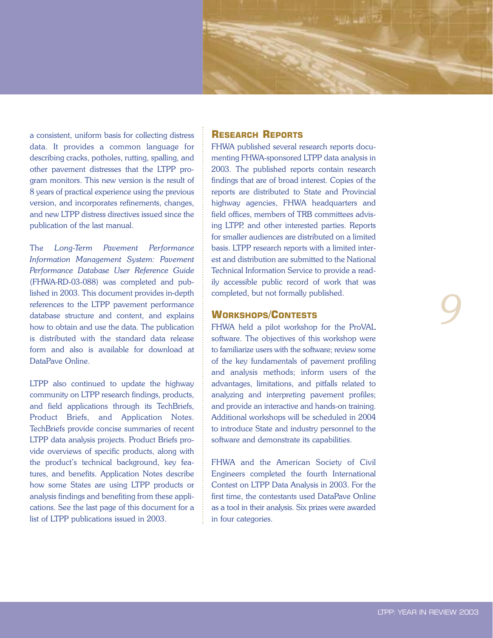

a consistent, uniform basis for collecting distress data. It provides a common language for describing cracks, potholes, rutting, spalling, and other pavement distresses that the LTPP program monitors. This new version is the result of 8 years of practical experience using the previous version, and incorporates refinements, changes, and new LTPP distress directives issued since the publication of the last manual.

The *Long-Term Pavement Performance Information Management System: Pavement Performance Database User Reference Guide* (FHWA-RD-03-088) was completed and published in 2003. This document provides in-depth references to the LTPP pavement performance database structure and content, and explains how to obtain and use the data. The publication is distributed with the standard data release form and also is available for download at DataPave Online.

LTPP also continued to update the highway community on LTPP research findings, products, and field applications through its TechBriefs, Product Briefs, and Application Notes. TechBriefs provide concise summaries of recent LTPP data analysis projects. Product Briefs provide overviews of specific products, along with the product's technical background, key features, and benefits. Application Notes describe how some States are using LTPP products or analysis findings and benefiting from these applications. See the last page of this document for a list of LTPP publications issued in 2003.

#### **RESEARCH REPORTS**

FHWA published several research reports documenting FHWA-sponsored LTPP data analysis in 2003. The published reports contain research findings that are of broad interest. Copies of the reports are distributed to State and Provincial highway agencies, FHWA headquarters and field offices, members of TRB committees advising LTPP, and other interested parties. Reports for smaller audiences are distributed on a limited basis. LTPP research reports with a limited interest and distribution are submitted to the National Technical Information Service to provide a readily accessible public record of work that was completed, but not formally published.

#### **WORKSHOPS/CONTESTS**

FHWA held a pilot workshop for the ProVAL software. The objectives of this workshop were to familiarize users with the software; review some of the key fundamentals of pavement profiling and analysis methods; inform users of the advantages, limitations, and pitfalls related to analyzing and interpreting pavement profiles; and provide an interactive and hands-on training. Additional workshops will be scheduled in 2004 to introduce State and industry personnel to the software and demonstrate its capabilities.

FHWA and the American Society of Civil Engineers completed the fourth International Contest on LTPP Data Analysis in 2003. For the first time, the contestants used DataPave Online as a tool in their analysis. Six prizes were awarded in four categories.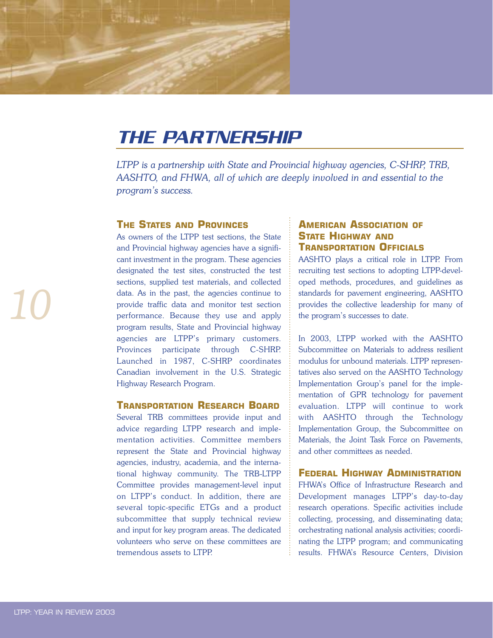

## THE PARTNERSHIP

*LTPP is a partnership with State and Provincial highway agencies, C-SHRP, TRB, AASHTO, and FHWA, all of which are deeply involved in and essential to the program's success.*

#### **THE STATES AND PROVINCES**

As owners of the LTPP test sections, the State and Provincial highway agencies have a significant investment in the program. These agencies designated the test sites, constructed the test sections, supplied test materials, and collected data. As in the past, the agencies continue to provide traffic data and monitor test section performance. Because they use and apply program results, State and Provincial highway agencies are LTPP's primary customers. Provinces participate through C-SHRP. Launched in 1987, C-SHRP coordinates Canadian involvement in the U.S. Strategic Highway Research Program.

#### **TRANSPORTATION RESEARCH BOARD**

Several TRB committees provide input and advice regarding LTPP research and implementation activities. Committee members represent the State and Provincial highway agencies, industry, academia, and the international highway community. The TRB-LTPP Committee provides management-level input on LTPP's conduct. In addition, there are several topic-specific ETGs and a product subcommittee that supply technical review and input for key program areas. The dedicated volunteers who serve on these committees are tremendous assets to LTPP.

#### **AMERICAN ASSOCIATION OF STATE HIGHWAY AND TRANSPORTATION OFFICIALS**

AASHTO plays a critical role in LTPP. From recruiting test sections to adopting LTPP-developed methods, procedures, and guidelines as standards for pavement engineering, AASHTO provides the collective leadership for many of the program's successes to date.

In 2003, LTPP worked with the AASHTO Subcommittee on Materials to address resilient modulus for unbound materials. LTPP representatives also served on the AASHTO Technology Implementation Group's panel for the implementation of GPR technology for pavement evaluation. LTPP will continue to work with AASHTO through the Technology Implementation Group, the Subcommittee on Materials, the Joint Task Force on Pavements, and other committees as needed.

#### **FEDERAL HIGHWAY ADMINISTRATION**

FHWA's Office of Infrastructure Research and Development manages LTPP's day-to-day research operations. Specific activities include collecting, processing, and disseminating data; orchestrating national analysis activities; coordinating the LTPP program; and communicating results. FHWA's Resource Centers, Division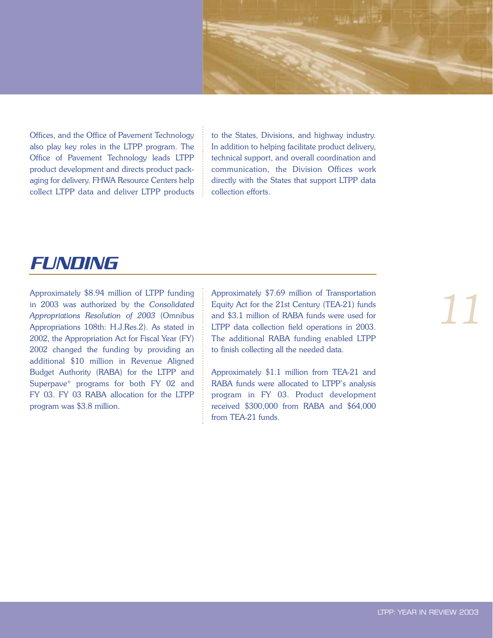

Offices, and the Office of Pavement Technology also play key roles in the LTPP program. The Office of Pavement Technology leads LTPP product development and directs product packaging for delivery. FHWA Resource Centers help collect LTPP data and deliver LTPP products to the States, Divisions, and highway industry. In addition to helping facilitate product delivery, technical support, and overall coordination and communication, the Division Offices work directly with the States that support LTPP data collection efforts.

### FUNDING

Approximately \$8.94 million of LTPP funding in 2003 was authorized by the *Consolidated Appropriations Resolution of 2003* (Omnibus Appropriations 108th: H.J.Res.2). As stated in 2002, the Appropriation Act for Fiscal Year (FY) 2002 changed the funding by providing an additional \$10 million in Revenue Aligned Budget Authority (RABA) for the LTPP and Superpave® programs for both FY 02 and FY 03. FY 03 RABA allocation for the LTPP program was \$3.8 million.

Approximately \$7.69 million of Transportation Equity Act for the 21st Century (TEA-21) funds and \$3.1 million of RABA funds were used for LTPP data collection field operations in 2003. The additional RABA funding enabled LTPP to finish collecting all the needed data.

Approximately \$1.1 million from TEA-21 and RABA funds were allocated to LTPP's analysis program in FY 03. Product development received \$300,000 from RABA and \$64,000 from TEA-21 funds.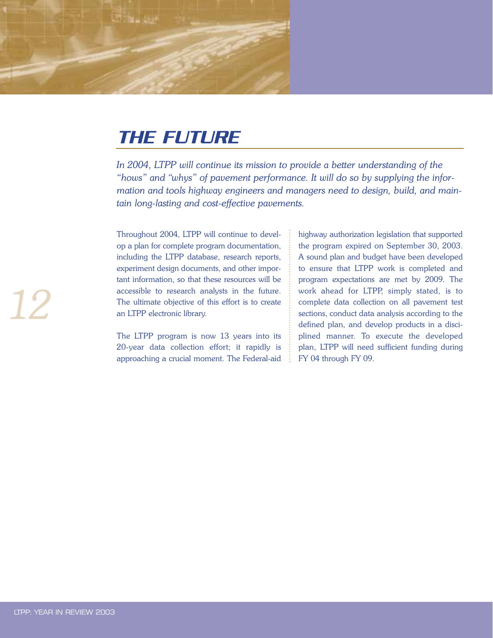

## THE FUTURE

*In 2004, LTPP will continue its mission to provide a better understanding of the "hows" and "whys" of pavement performance. It will do so by supplying the information and tools highway engineers and managers need to design, build, and maintain long-lasting and cost-effective pavements.*

Throughout 2004, LTPP will continue to develop a plan for complete program documentation, including the LTPP database, research reports, experiment design documents, and other important information, so that these resources will be accessible to research analysts in the future. The ultimate objective of this effort is to create an LTPP electronic library.

The LTPP program is now 13 years into its 20-year data collection effort; it rapidly is approaching a crucial moment. The Federal-aid

highway authorization legislation that supported the program expired on September 30, 2003. A sound plan and budget have been developed to ensure that LTPP work is completed and program expectations are met by 2009. The work ahead for LTPP, simply stated, is to complete data collection on all pavement test sections, conduct data analysis according to the defined plan, and develop products in a disciplined manner. To execute the developed plan, LTPP will need sufficient funding during FY 04 through FY 09.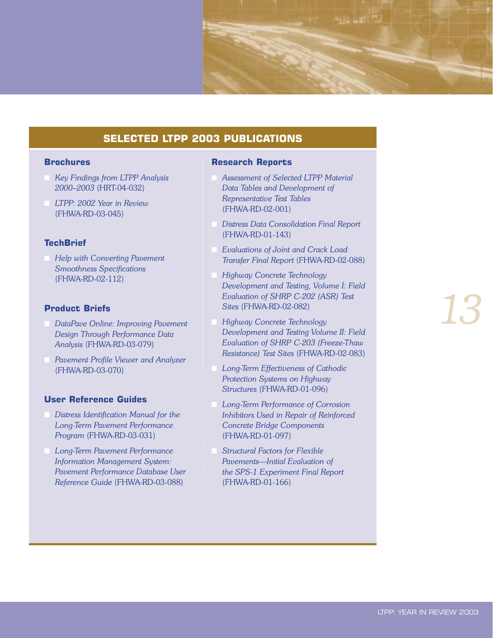#### **SELECTED LTPP 2003 PUBLICATIONS**

#### **Brochures**

- *Key Findings from LTPP Analysis 2000–2003* (HRT-04-032)
- *LTPP: 2002 Year in Review*  (FHWA-RD-03-045)

#### **TechBrief**

*Help with Converting Pavement Smoothness Specifications*  (FHWA-RD-02-112)

#### **Product Briefs**

- *DataPave Online: Improving Pavement Design Through Performance Data Analysis* (FHWA-RD-03-079)
- **Pavement Profile Viewer and Analyzer** (FHWA-RD-03-070)

#### **User Reference Guides**

- *Distress Identification Manual for the Long-Term Pavement Performance Program* (FHWA-RD-03-031)
- *Long-Term Pavement Performance Information Management System: Pavement Performance Database User Reference Guide* (FHWA-RD-03-088)

#### **Research Reports**

■ *Assessment of Selected LTPP Material Data Tables and Development of Representative Test Tables* (FHWA-RD-02-001)

백상 노래인당.

- *Distress Data Consolidation Final Report* (FHWA-RD-01-143)
- *Evaluations of Joint and Crack Load Transfer Final Report* (FHWA-RD-02-088)
- *Highway Concrete Technology Development and Testing, Volume I: Field Evaluation of SHRP C-202 (ASR) Test Sites* (FHWA-RD-02-082)
- *Highway Concrete Technology Development and Testing Volume II: Field Evaluation of SHRP C-203 (Freeze-Thaw Resistance) Test Sites* (FHWA-RD-02-083)
- *Long-Term Effectiveness of Cathodic Protection Systems on Highway Structures* (FHWA-RD-01-096)
- *Long-Term Performance of Corrosion Inhibitors Used in Repair of Reinforced Concrete Bridge Components* (FHWA-RD-01-097)
- **Structural Factors for Flexible** *Pavements—Initial Evaluation of the SPS-1 Experiment Final Report* (FHWA-RD-01-166)